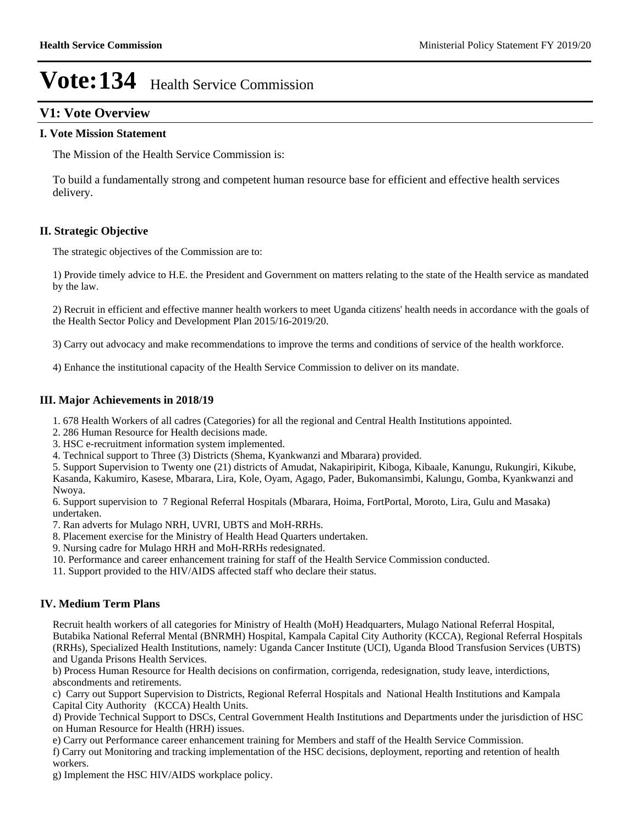## **V1: Vote Overview**

#### **I. Vote Mission Statement**

The Mission of the Health Service Commission is:

To build a fundamentally strong and competent human resource base for efficient and effective health services delivery.

#### **II. Strategic Objective**

The strategic objectives of the Commission are to:

1) Provide timely advice to H.E. the President and Government on matters relating to the state of the Health service as mandated by the law.

2) Recruit in efficient and effective manner health workers to meet Uganda citizens' health needs in accordance with the goals of the Health Sector Policy and Development Plan 2015/16-2019/20.

3) Carry out advocacy and make recommendations to improve the terms and conditions of service of the health workforce.

4) Enhance the institutional capacity of the Health Service Commission to deliver on its mandate.

#### **III. Major Achievements in 2018/19**

- 1. 678 Health Workers of all cadres (Categories) for all the regional and Central Health Institutions appointed.
- 2. 286 Human Resource for Health decisions made.
- 3. HSC e-recruitment information system implemented.

4. Technical support to Three (3) Districts (Shema, Kyankwanzi and Mbarara) provided.

5. Support Supervision to Twenty one (21) districts of Amudat, Nakapiripirit, Kiboga, Kibaale, Kanungu, Rukungiri, Kikube, Kasanda, Kakumiro, Kasese, Mbarara, Lira, Kole, Oyam, Agago, Pader, Bukomansimbi, Kalungu, Gomba, Kyankwanzi and Nwoya.

6. Support supervision to 7 Regional Referral Hospitals (Mbarara, Hoima, FortPortal, Moroto, Lira, Gulu and Masaka) undertaken.

7. Ran adverts for Mulago NRH, UVRI, UBTS and MoH-RRHs.

- 8. Placement exercise for the Ministry of Health Head Quarters undertaken.
- 9. Nursing cadre for Mulago HRH and MoH-RRHs redesignated.
- 10. Performance and career enhancement training for staff of the Health Service Commission conducted.
- 11. Support provided to the HIV/AIDS affected staff who declare their status.

#### **IV. Medium Term Plans**

Recruit health workers of all categories for Ministry of Health (MoH) Headquarters, Mulago National Referral Hospital, Butabika National Referral Mental (BNRMH) Hospital, Kampala Capital City Authority (KCCA), Regional Referral Hospitals (RRHs), Specialized Health Institutions, namely: Uganda Cancer Institute (UCI), Uganda Blood Transfusion Services (UBTS) and Uganda Prisons Health Services.

b) Process Human Resource for Health decisions on confirmation, corrigenda, redesignation, study leave, interdictions, abscondments and retirements.

c) Carry out Support Supervision to Districts, Regional Referral Hospitals and National Health Institutions and Kampala Capital City Authority (KCCA) Health Units.

d) Provide Technical Support to DSCs, Central Government Health Institutions and Departments under the jurisdiction of HSC on Human Resource for Health (HRH) issues.

e) Carry out Performance career enhancement training for Members and staff of the Health Service Commission.

f) Carry out Monitoring and tracking implementation of the HSC decisions, deployment, reporting and retention of health workers.

g) Implement the HSC HIV/AIDS workplace policy.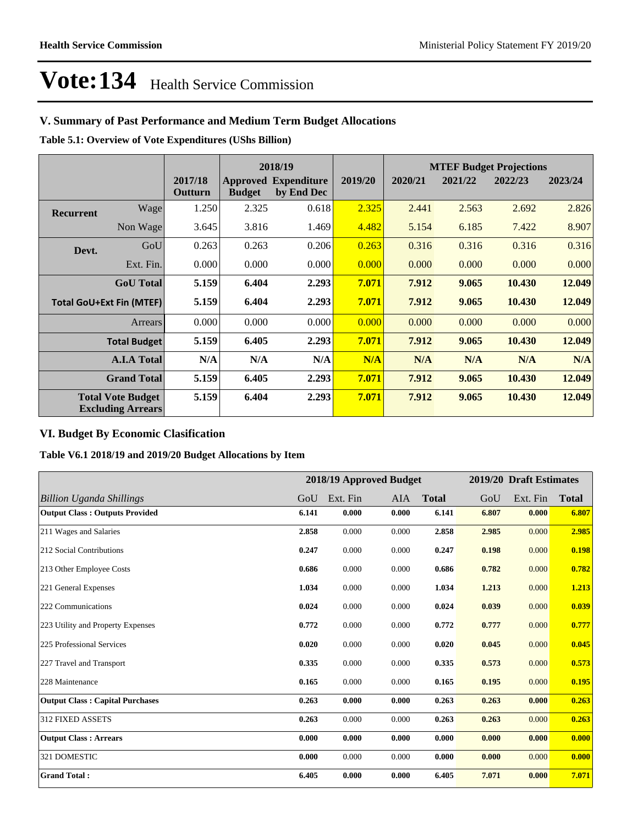## **V. Summary of Past Performance and Medium Term Budget Allocations**

**Table 5.1: Overview of Vote Expenditures (UShs Billion)**

|                  |                                                      |                    | 2018/19       |                                           |         |         |         | <b>MTEF Budget Projections</b> |         |  |  |
|------------------|------------------------------------------------------|--------------------|---------------|-------------------------------------------|---------|---------|---------|--------------------------------|---------|--|--|
|                  |                                                      | 2017/18<br>Outturn | <b>Budget</b> | <b>Approved Expenditure</b><br>by End Dec | 2019/20 | 2020/21 | 2021/22 | 2022/23                        | 2023/24 |  |  |
| <b>Recurrent</b> | Wage                                                 | 1.250              | 2.325         | 0.618                                     | 2.325   | 2.441   | 2.563   | 2.692                          | 2.826   |  |  |
|                  | Non Wage                                             | 3.645              | 3.816         | 1.469                                     | 4.482   | 5.154   | 6.185   | 7.422                          | 8.907   |  |  |
| Devt.            | GoU                                                  | 0.263              | 0.263         | 0.206                                     | 0.263   | 0.316   | 0.316   | 0.316                          | 0.316   |  |  |
|                  | Ext. Fin.                                            | 0.000              | 0.000         | 0.000                                     | 0.000   | 0.000   | 0.000   | 0.000                          | 0.000   |  |  |
|                  | <b>GoU</b> Total                                     | 5.159              | 6.404         | 2.293                                     | 7.071   | 7.912   | 9.065   | 10.430                         | 12.049  |  |  |
|                  | <b>Total GoU+Ext Fin (MTEF)</b>                      | 5.159              | 6.404         | 2.293                                     | 7.071   | 7.912   | 9.065   | 10.430                         | 12.049  |  |  |
|                  | <b>Arrears</b>                                       | 0.000              | 0.000         | 0.000                                     | 0.000   | 0.000   | 0.000   | 0.000                          | 0.000   |  |  |
|                  | <b>Total Budget</b>                                  | 5.159              | 6.405         | 2.293                                     | 7.071   | 7.912   | 9.065   | 10.430                         | 12.049  |  |  |
|                  | <b>A.I.A Total</b>                                   | N/A                | N/A           | N/A                                       | N/A     | N/A     | N/A     | N/A                            | N/A     |  |  |
|                  | <b>Grand Total</b>                                   | 5.159              | 6.405         | 2.293                                     | 7.071   | 7.912   | 9.065   | 10.430                         | 12.049  |  |  |
|                  | <b>Total Vote Budget</b><br><b>Excluding Arrears</b> | 5.159              | 6.404         | 2.293                                     | 7.071   | 7.912   | 9.065   | 10.430                         | 12.049  |  |  |

### **VI. Budget By Economic Clasification**

**Table V6.1 2018/19 and 2019/20 Budget Allocations by Item**

|                                        |       | 2018/19 Approved Budget |       |              |       | 2019/20 Draft Estimates |              |
|----------------------------------------|-------|-------------------------|-------|--------------|-------|-------------------------|--------------|
| Billion Uganda Shillings               | GoU   | Ext. Fin                | AIA   | <b>Total</b> | GoU   | Ext. Fin                | <b>Total</b> |
| <b>Output Class: Outputs Provided</b>  | 6.141 | 0.000                   | 0.000 | 6.141        | 6.807 | 0.000                   | 6.807        |
| 211 Wages and Salaries                 | 2.858 | 0.000                   | 0.000 | 2.858        | 2.985 | 0.000                   | 2.985        |
| 212 Social Contributions               | 0.247 | 0.000                   | 0.000 | 0.247        | 0.198 | 0.000                   | 0.198        |
| 213 Other Employee Costs               | 0.686 | 0.000                   | 0.000 | 0.686        | 0.782 | 0.000                   | 0.782        |
| 221 General Expenses                   | 1.034 | 0.000                   | 0.000 | 1.034        | 1.213 | 0.000                   | 1.213        |
| 222 Communications                     | 0.024 | 0.000                   | 0.000 | 0.024        | 0.039 | 0.000                   | 0.039        |
| 223 Utility and Property Expenses      | 0.772 | 0.000                   | 0.000 | 0.772        | 0.777 | 0.000                   | 0.777        |
| 225 Professional Services              | 0.020 | 0.000                   | 0.000 | 0.020        | 0.045 | 0.000                   | 0.045        |
| 227 Travel and Transport               | 0.335 | 0.000                   | 0.000 | 0.335        | 0.573 | 0.000                   | 0.573        |
| 228 Maintenance                        | 0.165 | 0.000                   | 0.000 | 0.165        | 0.195 | 0.000                   | 0.195        |
| <b>Output Class: Capital Purchases</b> | 0.263 | 0.000                   | 0.000 | 0.263        | 0.263 | 0.000                   | 0.263        |
| 312 FIXED ASSETS                       | 0.263 | 0.000                   | 0.000 | 0.263        | 0.263 | 0.000                   | 0.263        |
| <b>Output Class: Arrears</b>           | 0.000 | 0.000                   | 0.000 | 0.000        | 0.000 | 0.000                   | 0.000        |
| 321 DOMESTIC                           | 0.000 | 0.000                   | 0.000 | 0.000        | 0.000 | 0.000                   | 0.000        |
| <b>Grand Total:</b>                    | 6.405 | 0.000                   | 0.000 | 6.405        | 7.071 | 0.000                   | 7.071        |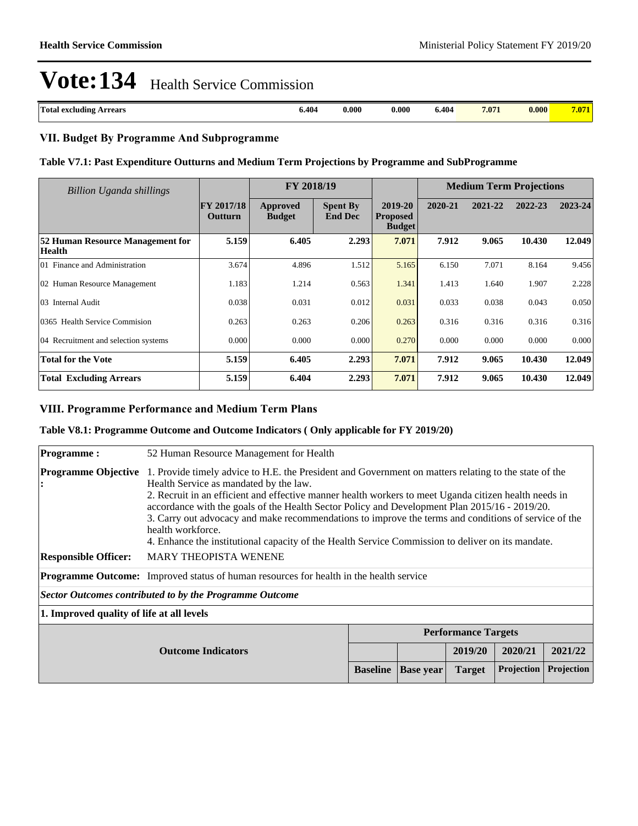| Total<br><b>Arrears</b><br>i excluding | 6.404 | 0.000 | $\boldsymbol{0.000}$ | 6.404 | 7.071 | 0.000 |  |
|----------------------------------------|-------|-------|----------------------|-------|-------|-------|--|

#### **VII. Budget By Programme And Subprogramme**

#### **Table V7.1: Past Expenditure Outturns and Medium Term Projections by Programme and SubProgramme**

| Billion Uganda shillings                   | FY 2018/19                   |                           |                                   | <b>Medium Term Projections</b>              |         |         |         |         |
|--------------------------------------------|------------------------------|---------------------------|-----------------------------------|---------------------------------------------|---------|---------|---------|---------|
|                                            | <b>FY 2017/18</b><br>Outturn | Approved<br><b>Budget</b> | <b>Spent By</b><br><b>End Dec</b> | 2019-20<br><b>Proposed</b><br><b>Budget</b> | 2020-21 | 2021-22 | 2022-23 | 2023-24 |
| 52 Human Resource Management for<br>Health | 5.159                        | 6.405                     | 2.293                             | 7.071                                       | 7.912   | 9.065   | 10.430  | 12.049  |
| 01 Finance and Administration              | 3.674                        | 4.896                     | 1.512                             | 5.165                                       | 6.150   | 7.071   | 8.164   | 9.456   |
| 02 Human Resource Management               | 1.183                        | 1.214                     | 0.563                             | 1.341                                       | 1.413   | 1.640   | 1.907   | 2.228   |
| 03 Internal Audit                          | 0.038                        | 0.031                     | 0.012                             | 0.031                                       | 0.033   | 0.038   | 0.043   | 0.050   |
| 0365 Health Service Commision              | 0.263                        | 0.263                     | 0.206                             | 0.263                                       | 0.316   | 0.316   | 0.316   | 0.316   |
| 04 Recruitment and selection systems       | 0.000                        | 0.000                     | 0.000                             | 0.270                                       | 0.000   | 0.000   | 0.000   | 0.000   |
| <b>Total for the Vote</b>                  | 5.159                        | 6.405                     | 2.293                             | 7.071                                       | 7.912   | 9.065   | 10.430  | 12.049  |
| <b>Total Excluding Arrears</b>             | 5.159                        | 6.404                     | 2.293                             | 7.071                                       | 7.912   | 9.065   | 10.430  | 12.049  |

#### **VIII. Programme Performance and Medium Term Plans**

#### **Table V8.1: Programme Outcome and Outcome Indicators ( Only applicable for FY 2019/20)**

| <b>Programme:</b>                         | 52 Human Resource Management for Health                                                                                                                                                                                                                                                                                                                                                                                                                                                                                                                                                     |                 |                  |                            |            |            |  |  |  |  |  |
|-------------------------------------------|---------------------------------------------------------------------------------------------------------------------------------------------------------------------------------------------------------------------------------------------------------------------------------------------------------------------------------------------------------------------------------------------------------------------------------------------------------------------------------------------------------------------------------------------------------------------------------------------|-----------------|------------------|----------------------------|------------|------------|--|--|--|--|--|
| <b>Programme Objective</b>                | 1. Provide timely advice to H.E. the President and Government on matters relating to the state of the<br>Health Service as mandated by the law.<br>2. Recruit in an efficient and effective manner health workers to meet Uganda citizen health needs in<br>accordance with the goals of the Health Sector Policy and Development Plan 2015/16 - 2019/20.<br>3. Carry out advocacy and make recommendations to improve the terms and conditions of service of the<br>health workforce.<br>4. Enhance the institutional capacity of the Health Service Commission to deliver on its mandate. |                 |                  |                            |            |            |  |  |  |  |  |
| <b>Responsible Officer:</b>               | <b>MARY THEOPISTA WENENE</b>                                                                                                                                                                                                                                                                                                                                                                                                                                                                                                                                                                |                 |                  |                            |            |            |  |  |  |  |  |
|                                           | <b>Programme Outcome:</b> Improved status of human resources for health in the health service                                                                                                                                                                                                                                                                                                                                                                                                                                                                                               |                 |                  |                            |            |            |  |  |  |  |  |
|                                           | <b>Sector Outcomes contributed to by the Programme Outcome</b>                                                                                                                                                                                                                                                                                                                                                                                                                                                                                                                              |                 |                  |                            |            |            |  |  |  |  |  |
| 1. Improved quality of life at all levels |                                                                                                                                                                                                                                                                                                                                                                                                                                                                                                                                                                                             |                 |                  |                            |            |            |  |  |  |  |  |
|                                           |                                                                                                                                                                                                                                                                                                                                                                                                                                                                                                                                                                                             |                 |                  | <b>Performance Targets</b> |            |            |  |  |  |  |  |
|                                           | 2020/21<br>2021/22<br>2019/20<br><b>Outcome Indicators</b>                                                                                                                                                                                                                                                                                                                                                                                                                                                                                                                                  |                 |                  |                            |            |            |  |  |  |  |  |
|                                           |                                                                                                                                                                                                                                                                                                                                                                                                                                                                                                                                                                                             | <b>Baseline</b> | <b>Base year</b> | <b>Target</b>              | Projection | Projection |  |  |  |  |  |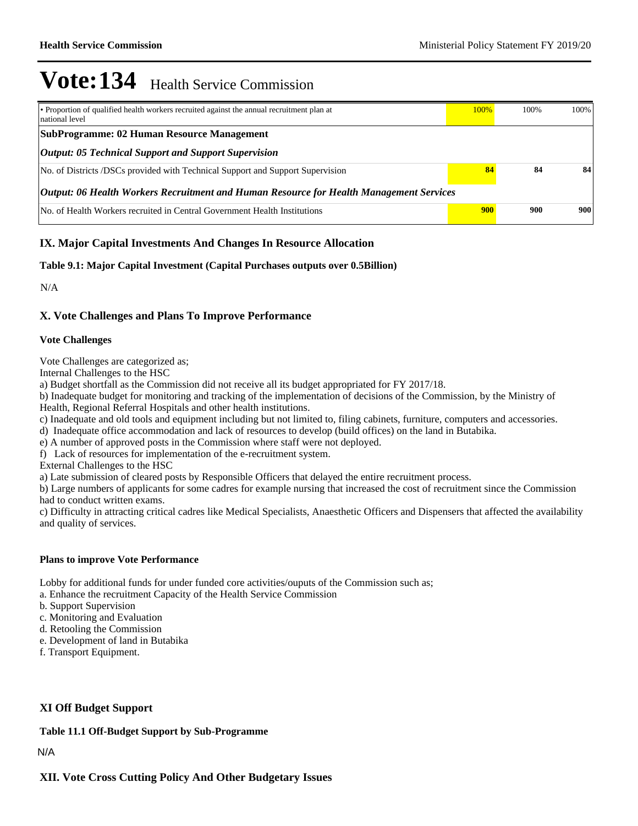| • Proportion of qualified health workers recruited against the annual recruitment plan at<br>national level | 100% | 100% | 100% |  |  |  |  |  |  |
|-------------------------------------------------------------------------------------------------------------|------|------|------|--|--|--|--|--|--|
| <b>SubProgramme: 02 Human Resource Management</b>                                                           |      |      |      |  |  |  |  |  |  |
| <b>Output: 05 Technical Support and Support Supervision</b>                                                 |      |      |      |  |  |  |  |  |  |
| No. of Districts /DSCs provided with Technical Support and Support Supervision                              | 84   | 84   | 84   |  |  |  |  |  |  |
| Output: 06 Health Workers Recruitment and Human Resource for Health Management Services                     |      |      |      |  |  |  |  |  |  |
| No. of Health Workers recruited in Central Government Health Institutions                                   | 900  | 900  | 900  |  |  |  |  |  |  |

### **IX. Major Capital Investments And Changes In Resource Allocation**

#### **Table 9.1: Major Capital Investment (Capital Purchases outputs over 0.5Billion)**

N/A

### **X. Vote Challenges and Plans To Improve Performance**

#### **Vote Challenges**

Vote Challenges are categorized as;

Internal Challenges to the HSC

a) Budget shortfall as the Commission did not receive all its budget appropriated for FY 2017/18.

b) Inadequate budget for monitoring and tracking of the implementation of decisions of the Commission, by the Ministry of Health, Regional Referral Hospitals and other health institutions.

c) Inadequate and old tools and equipment including but not limited to, filing cabinets, furniture, computers and accessories.

d) Inadequate office accommodation and lack of resources to develop (build offices) on the land in Butabika.

e) A number of approved posts in the Commission where staff were not deployed.

f) Lack of resources for implementation of the e-recruitment system.

External Challenges to the HSC

a) Late submission of cleared posts by Responsible Officers that delayed the entire recruitment process.

b) Large numbers of applicants for some cadres for example nursing that increased the cost of recruitment since the Commission had to conduct written exams.

c) Difficulty in attracting critical cadres like Medical Specialists, Anaesthetic Officers and Dispensers that affected the availability and quality of services.

#### **Plans to improve Vote Performance**

Lobby for additional funds for under funded core activities/ouputs of the Commission such as;

a. Enhance the recruitment Capacity of the Health Service Commission

b. Support Supervision

- c. Monitoring and Evaluation
- d. Retooling the Commission
- e. Development of land in Butabika
- f. Transport Equipment.

#### **XI Off Budget Support**

#### **Table 11.1 Off-Budget Support by Sub-Programme**

N/A

#### **XII. Vote Cross Cutting Policy And Other Budgetary Issues**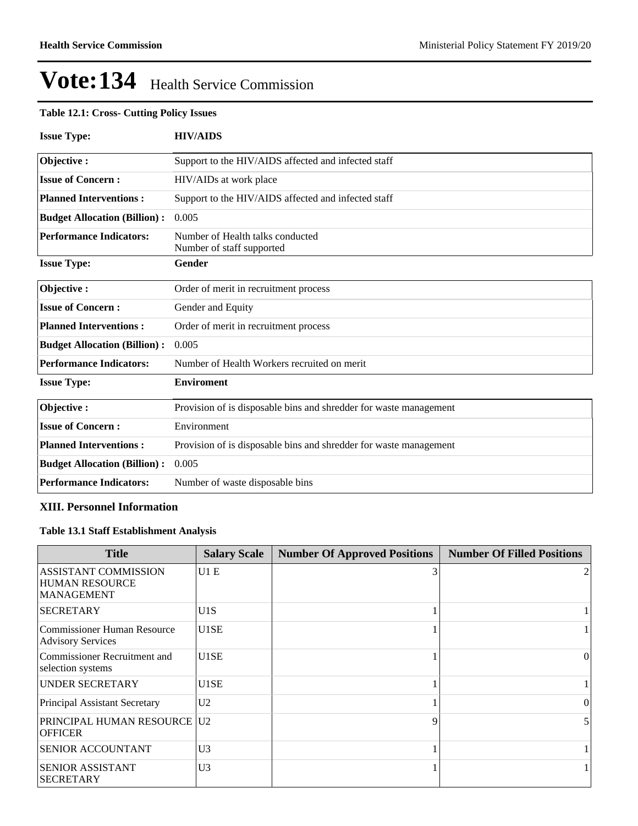#### **Table 12.1: Cross- Cutting Policy Issues**

| <b>Issue Type:</b>                  | <b>HIV/AIDS</b>                                                   |
|-------------------------------------|-------------------------------------------------------------------|
| Objective:                          | Support to the HIV/AIDS affected and infected staff               |
| <b>Issue of Concern:</b>            | HIV/AIDs at work place                                            |
| <b>Planned Interventions:</b>       | Support to the HIV/AIDS affected and infected staff               |
| <b>Budget Allocation (Billion):</b> | 0.005                                                             |
| <b>Performance Indicators:</b>      | Number of Health talks conducted<br>Number of staff supported     |
| <b>Issue Type:</b>                  | Gender                                                            |
| Objective:                          | Order of merit in recruitment process                             |
| <b>Issue of Concern:</b>            | Gender and Equity                                                 |
| <b>Planned Interventions:</b>       | Order of merit in recruitment process                             |
| <b>Budget Allocation (Billion):</b> | 0.005                                                             |
| <b>Performance Indicators:</b>      | Number of Health Workers recruited on merit                       |
| <b>Issue Type:</b>                  | <b>Enviroment</b>                                                 |
| Objective:                          | Provision of is disposable bins and shredder for waste management |
| <b>Issue of Concern:</b>            | Environment                                                       |
| <b>Planned Interventions:</b>       | Provision of is disposable bins and shredder for waste management |
| <b>Budget Allocation (Billion):</b> | 0.005                                                             |
| <b>Performance Indicators:</b>      | Number of waste disposable bins                                   |

#### **XIII. Personnel Information**

## **Table 13.1 Staff Establishment Analysis**

| <b>Title</b>                                                              | <b>Salary Scale</b> | <b>Number Of Approved Positions</b> | <b>Number Of Filled Positions</b> |
|---------------------------------------------------------------------------|---------------------|-------------------------------------|-----------------------------------|
| <b>ASSISTANT COMMISSION</b><br><b>HUMAN RESOURCE</b><br><b>MANAGEMENT</b> | U1E                 |                                     |                                   |
| <b>SECRETARY</b>                                                          | U1S                 |                                     |                                   |
| Commissioner Human Resource<br><b>Advisory Services</b>                   | U <sub>1</sub> SE   |                                     |                                   |
| Commissioner Recruitment and<br>selection systems                         | U1SE                |                                     | $\Omega$                          |
| <b>UNDER SECRETARY</b>                                                    | U1SE                |                                     |                                   |
| <b>Principal Assistant Secretary</b>                                      | U <sub>2</sub>      |                                     | $\Omega$                          |
| <b>PRINCIPAL HUMAN RESOURCE U2</b><br><b>OFFICER</b>                      |                     | Q                                   | 5.                                |
| <b>SENIOR ACCOUNTANT</b>                                                  | U <sub>3</sub>      |                                     |                                   |
| <b>SENIOR ASSISTANT</b><br><b>SECRETARY</b>                               | U <sub>3</sub>      |                                     |                                   |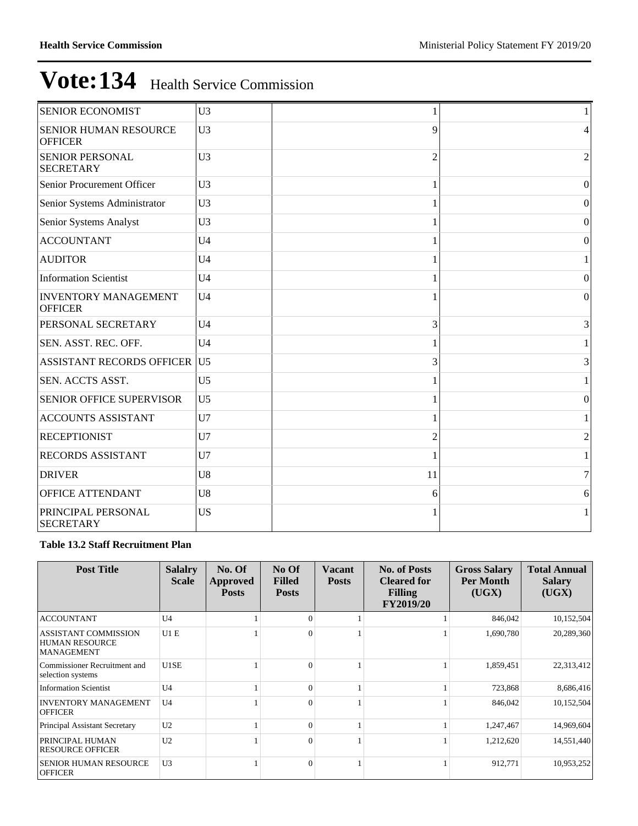| <b>SENIOR ECONOMIST</b>                       | U <sub>3</sub> |                |                  |
|-----------------------------------------------|----------------|----------------|------------------|
| SENIOR HUMAN RESOURCE<br><b>OFFICER</b>       | U <sub>3</sub> | 9              | 4                |
| <b>SENIOR PERSONAL</b><br><b>SECRETARY</b>    | U <sub>3</sub> | $\overline{c}$ | $\overline{2}$   |
| Senior Procurement Officer                    | U <sub>3</sub> | 1              | $\boldsymbol{0}$ |
| Senior Systems Administrator                  | U <sub>3</sub> |                | $\Omega$         |
| Senior Systems Analyst                        | U <sub>3</sub> |                | $\overline{0}$   |
| <b>ACCOUNTANT</b>                             | U <sub>4</sub> | 1              | $\mathbf{0}$     |
| <b>AUDITOR</b>                                | U <sub>4</sub> |                | 1                |
| <b>Information Scientist</b>                  | U <sub>4</sub> |                | $\Omega$         |
| <b>INVENTORY MANAGEMENT</b><br><b>OFFICER</b> | U <sub>4</sub> | 1              | $\overline{0}$   |
| PERSONAL SECRETARY                            | U <sub>4</sub> | 3              | 3                |
| SEN. ASST. REC. OFF.                          | U <sub>4</sub> |                |                  |
| <b>ASSISTANT RECORDS OFFICER</b>              | U <sub>5</sub> | 3              | 3                |
| SEN. ACCTS ASST.                              | U <sub>5</sub> | 1              | 1                |
| <b>SENIOR OFFICE SUPERVISOR</b>               | U <sub>5</sub> |                | $\boldsymbol{0}$ |
| <b>ACCOUNTS ASSISTANT</b>                     | U7             |                |                  |
| <b>RECEPTIONIST</b>                           | U7             | 2              | $\overline{c}$   |
| RECORDS ASSISTANT                             | U7             |                |                  |
| <b>DRIVER</b>                                 | U8             | 11             | $\overline{7}$   |
| OFFICE ATTENDANT                              | U <sub>8</sub> | 6              | 6                |
| PRINCIPAL PERSONAL<br><b>SECRETARY</b>        | <b>US</b>      |                |                  |

#### **Table 13.2 Staff Recruitment Plan**

| <b>Post Title</b>                                                         | <b>Salalry</b><br><b>Scale</b> | No. Of<br>Approved<br><b>Posts</b> | No Of<br><b>Filled</b><br><b>Posts</b> | Vacant<br><b>Posts</b> | <b>No. of Posts</b><br><b>Cleared for</b><br><b>Filling</b><br><b>FY2019/20</b> | <b>Gross Salary</b><br>Per Month<br>(UGX) | <b>Total Annual</b><br><b>Salary</b><br>(UGX) |
|---------------------------------------------------------------------------|--------------------------------|------------------------------------|----------------------------------------|------------------------|---------------------------------------------------------------------------------|-------------------------------------------|-----------------------------------------------|
| <b>ACCOUNTANT</b>                                                         | U <sub>4</sub>                 |                                    | $\Omega$                               |                        |                                                                                 | 846,042                                   | 10,152,504                                    |
| <b>ASSISTANT COMMISSION</b><br><b>HUMAN RESOURCE</b><br><b>MANAGEMENT</b> | U1E                            |                                    | $\Omega$                               |                        |                                                                                 | 1,690,780                                 | 20,289,360                                    |
| Commissioner Recruitment and<br>selection systems                         | U1SE                           |                                    | $\Omega$                               |                        |                                                                                 | 1,859,451                                 | 22,313,412                                    |
| <b>Information Scientist</b>                                              | U <sub>4</sub>                 |                                    | $\Omega$                               |                        |                                                                                 | 723,868                                   | 8,686,416                                     |
| <b>INVENTORY MANAGEMENT</b><br><b>OFFICER</b>                             | U <sub>4</sub>                 |                                    | $\Omega$                               |                        |                                                                                 | 846,042                                   | 10,152,504                                    |
| Principal Assistant Secretary                                             | U2                             |                                    | $\theta$                               |                        |                                                                                 | 1,247,467                                 | 14,969,604                                    |
| PRINCIPAL HUMAN<br><b>RESOURCE OFFICER</b>                                | U2                             |                                    | $\Omega$                               |                        |                                                                                 | 1,212,620                                 | 14,551,440                                    |
| <b>SENIOR HUMAN RESOURCE</b><br><b>OFFICER</b>                            | U3                             |                                    | $\Omega$                               |                        |                                                                                 | 912,771                                   | 10,953,252                                    |